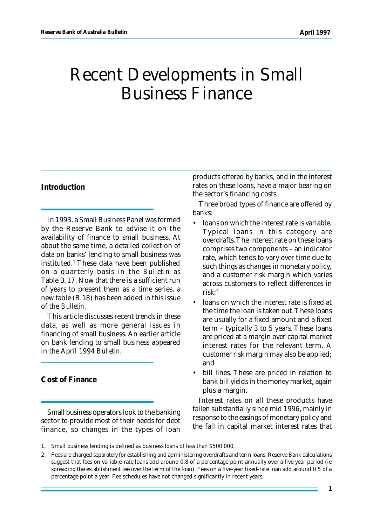# Recent Developments in Small Business Finance

## **Introduction**

In 1993, a Small Business Panel was formed by the Reserve Bank to advise it on the availability of finance to small business. At about the same time, a detailed collection of data on banks' lending to small business was instituted.<sup>1</sup> These data have been published on a quarterly basis in the *Bulletin* as Table B.17. Now that there is a sufficient run of years to present them as a time series, a new table (B.18) has been added in this issue of the *Bulletin.*

This article discusses recent trends in these data, as well as more general issues in financing of small business. An earlier article on bank lending to small business appeared in the April 1994 *Bulletin*.

**Cost of Finance**

Small business operators look to the banking sector to provide most of their needs for debt finance, so changes in the types of loan products offered by banks, and in the interest rates on these loans, have a major bearing on the sector's financing costs.

Three broad types of finance are offered by banks:

- loans on which the interest rate is variable. Typical loans in this category are overdrafts. The interest rate on these loans comprises two components – an indicator rate, which tends to vary over time due to such things as changes in monetary policy, and a customer risk margin which varies across customers to reflect differences in  $risk<sup>2</sup>$
- loans on which the interest rate is fixed at the time the loan is taken out. These loans are usually for a fixed amount and a fixed term – typically 3 to 5 years. These loans are priced at a margin over capital market interest rates for the relevant term. A customer risk margin may also be applied; and
- bill lines. These are priced in relation to bank bill yields in the money market, again plus a margin.

Interest rates on all these products have fallen substantially since mid 1996, mainly in response to the easings of monetary policy and the fall in capital market interest rates that

- 1. Small business lending is defined as business loans of less than \$500 000.
- 2. Fees are charged separately for establishing and administering overdrafts and term loans. Reserve Bank calculations suggest that fees on variable-rate loans add around 0.8 of a percentage point annually over a five year period (ie spreading the establishment fee over the term of the loan). Fees on a five-year fixed-rate loan add around 0.5 of a percentage point a year. Fee schedules have not changed significantly in recent years.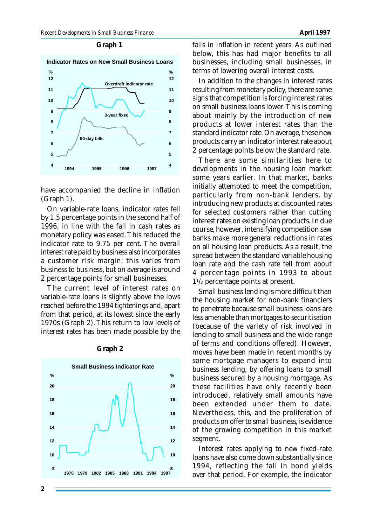#### **Graph 1**





have accompanied the decline in inflation (Graph 1).

On variable-rate loans, indicator rates fell by 1.5 percentage points in the second half of 1996, in line with the fall in cash rates as monetary policy was eased. This reduced the indicator rate to 9.75 per cent. The overall interest rate paid by business also incorporates a customer risk margin; this varies from business to business, but on average is around 2 percentage points for small businesses.

The current level of interest rates on variable-rate loans is slightly above the lows reached before the 1994 tightenings and, apart from that period, at its lowest since the early 1970s (Graph 2). This return to low levels of interest rates has been made possible by the



#### **Graph 2**

falls in inflation in recent years. As outlined below, this has had major benefits to all businesses, including small businesses, in terms of lowering overall interest costs.

In addition to the changes in interest rates resulting from monetary policy, there are some signs that competition is forcing interest rates on small business loans lower. This is coming about mainly by the introduction of new products at lower interest rates than the standard indicator rate. On average, these new products carry an indicator interest rate about 2 percentage points below the standard rate.

There are some similarities here to developments in the housing loan market some years earlier. In that market, banks initially attempted to meet the competition, particularly from non-bank lenders, by introducing new products at discounted rates for selected customers rather than cutting interest rates on existing loan products. In due course, however, intensifying competition saw banks make more general reductions in rates on all housing loan products. As a result, the spread between the standard variable housing loan rate and the cash rate fell from about 4 percentage points in 1993 to about 1 1 /2 percentage points at present.

Small business lending is more difficult than the housing market for non-bank financiers to penetrate because small business loans are less amenable than mortgages to securitisation (because of the variety of risk involved in lending to small business and the wide range of terms and conditions offered). However, moves have been made in recent months by some mortgage managers to expand into business lending, by offering loans to small business secured by a housing mortgage. As these facilities have only recently been introduced, relatively small amounts have been extended under them to date. Nevertheless, this, and the proliferation of products on offer to small business, is evidence of the growing competition in this market segment.

Interest rates applying to new fixed-rate loans have also come down substantially since 1994, reflecting the fall in bond yields over that period. For example, the indicator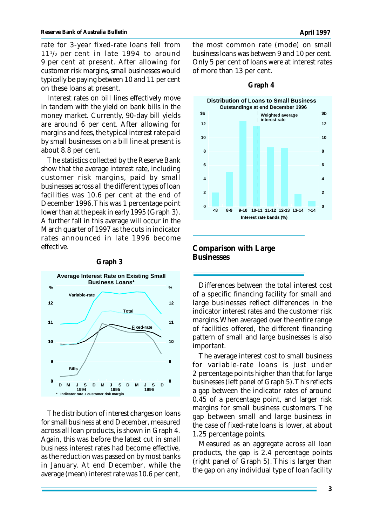rate for 3-year fixed-rate loans fell from 11<sup>1</sup> /2 per cent in late 1994 to around 9 per cent at present. After allowing for customer risk margins, small businesses would typically be paying between 10 and 11 per cent on these loans at present.

Interest rates on bill lines effectively move in tandem with the yield on bank bills in the money market. Currently, 90-day bill yields are around 6 per cent. After allowing for margins and fees, the typical interest rate paid by small businesses on a bill line at present is about 8.8 per cent.

The statistics collected by the Reserve Bank show that the average interest rate, including customer risk margins, paid by small businesses across all the different types of loan facilities was 10.6 per cent at the end of December 1996. This was 1 percentage point lower than at the peak in early 1995 (Graph 3). A further fall in this average will occur in the March quarter of 1997 as the cuts in indicator rates announced in late 1996 become effective.





The distribution of interest charges on loans for small business at end December, measured across all loan products, is shown in Graph 4. Again, this was before the latest cut in small business interest rates had become effective, as the reduction was passed on by most banks in January. At end December, while the average (mean) interest rate was 10.6 per cent,



### **Graph 4**

**Comparison with Large Businesses**

Differences between the total interest cost of a specific financing facility for small and large businesses reflect differences in the indicator interest rates and the customer risk margins. When averaged over the entire range of facilities offered, the different financing pattern of small and large businesses is also important.

The average interest cost to small business for variable-rate loans is just under 2 percentage points higher than that for large businesses (left panel of Graph 5). This reflects a gap between the indicator rates of around 0.45 of a percentage point, and larger risk margins for small business customers. The gap between small and large business in the case of fixed-rate loans is lower, at about 1.25 percentage points.

Measured as an aggregate across all loan products, the gap is 2.4 percentage points (right panel of Graph 5). This is larger than the gap on any individual type of loan facility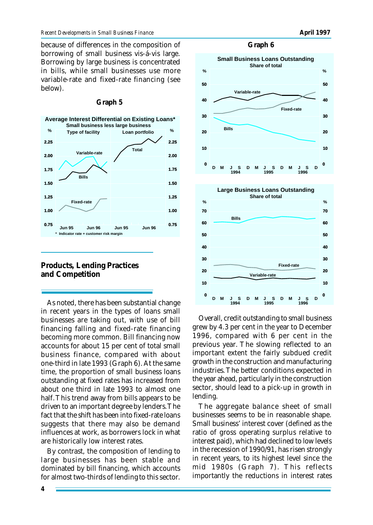because of differences in the composition of borrowing of small business vis-á-vis large. Borrowing by large business is concentrated in bills, while small businesses use more variable-rate and fixed-rate financing (see below).



#### **Graph 5**



As noted, there has been substantial change in recent years in the types of loans small businesses are taking out, with use of bill financing falling and fixed-rate financing becoming more common. Bill financing now accounts for about 15 per cent of total small business finance, compared with about one-third in late 1993 (Graph 6). At the same time, the proportion of small business loans outstanding at fixed rates has increased from about one third in late 1993 to almost one half. This trend away from bills appears to be driven to an important degree by lenders. The fact that the shift has been into fixed-rate loans suggests that there may also be demand influences at work, as borrowers lock in what are historically low interest rates.

By contrast, the composition of lending to large businesses has been stable and dominated by bill financing, which accounts for almost two-thirds of lending to this sector.

**Graph 6**



Overall, credit outstanding to small business grew by 4.3 per cent in the year to December 1996, compared with 6 per cent in the previous year. The slowing reflected to an important extent the fairly subdued credit growth in the construction and manufacturing industries. The better conditions expected in the year ahead, particularly in the construction sector, should lead to a pick-up in growth in lending.

The aggregate balance sheet of small businesses seems to be in reasonable shape. Small business' interest cover (defined as the ratio of gross operating surplus relative to interest paid), which had declined to low levels in the recession of 1990/91, has risen strongly in recent years, to its highest level since the mid 1980s (Graph 7). This reflects importantly the reductions in interest rates